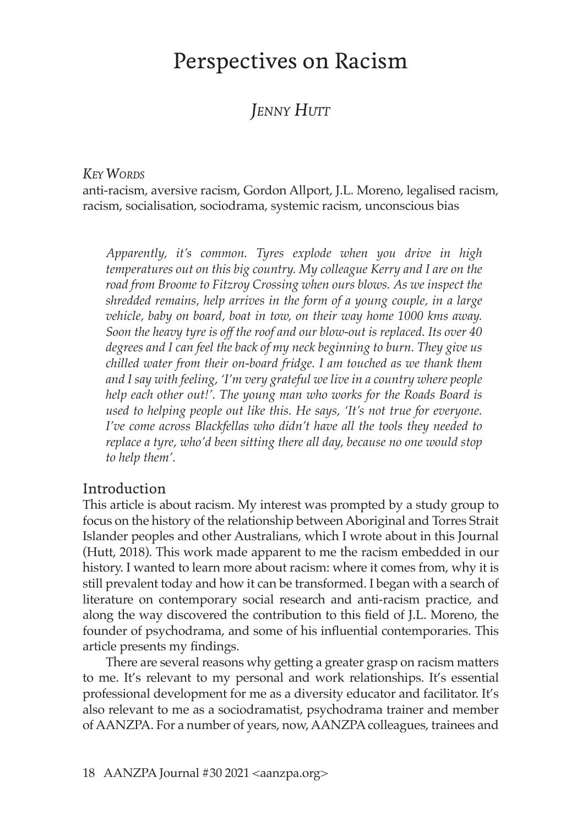# Perspectives on Racism

## *Jenny Hutt*

#### *Key Words*

anti-racism, aversive racism, Gordon Allport, J.L. Moreno, legalised racism, racism, socialisation, sociodrama, systemic racism, unconscious bias

*Apparently, it's common. Tyres explode when you drive in high temperatures out on this big country. My colleague Kerry and I are on the road from Broome to Fitzroy Crossing when ours blows. As we inspect the shredded remains, help arrives in the form of a young couple, in a large vehicle, baby on board, boat in tow, on their way home 1000 kms away. Soon the heavy tyre is off the roof and our blow-out is replaced. Its over 40 degrees and I can feel the back of my neck beginning to burn. They give us chilled water from their on-board fridge. I am touched as we thank them and I say with feeling, 'I'm very grateful we live in a country where people help each other out!'. The young man who works for the Roads Board is used to helping people out like this. He says, 'It's not true for everyone. I've come across Blackfellas who didn't have all the tools they needed to replace a tyre, who'd been sitting there all day, because no one would stop to help them'.*

#### Introduction

This article is about racism. My interest was prompted by a study group to focus on the history of the relationship between Aboriginal and Torres Strait Islander peoples and other Australians, which I wrote about in this Journal (Hutt, 2018). This work made apparent to me the racism embedded in our history. I wanted to learn more about racism: where it comes from, why it is still prevalent today and how it can be transformed. I began with a search of literature on contemporary social research and anti-racism practice, and along the way discovered the contribution to this field of J.L. Moreno, the founder of psychodrama, and some of his influential contemporaries. This article presents my findings.

There are several reasons why getting a greater grasp on racism matters to me. It's relevant to my personal and work relationships. It's essential professional development for me as a diversity educator and facilitator. It's also relevant to me as a sociodramatist, psychodrama trainer and member of AANZPA. For a number of years, now, AANZPA colleagues, trainees and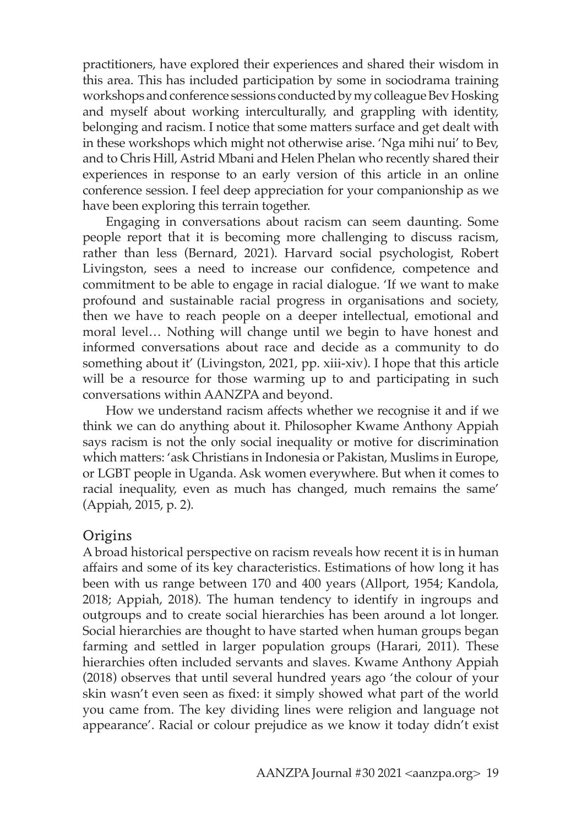practitioners, have explored their experiences and shared their wisdom in this area. This has included participation by some in sociodrama training workshops and conference sessions conducted by my colleague Bev Hosking and myself about working interculturally, and grappling with identity, belonging and racism. I notice that some matters surface and get dealt with in these workshops which might not otherwise arise. 'Nga mihi nui' to Bev, and to Chris Hill, Astrid Mbani and Helen Phelan who recently shared their experiences in response to an early version of this article in an online conference session. I feel deep appreciation for your companionship as we have been exploring this terrain together.

Engaging in conversations about racism can seem daunting. Some people report that it is becoming more challenging to discuss racism, rather than less (Bernard, 2021). Harvard social psychologist, Robert Livingston, sees a need to increase our confidence, competence and commitment to be able to engage in racial dialogue. 'If we want to make profound and sustainable racial progress in organisations and society, then we have to reach people on a deeper intellectual, emotional and moral level… Nothing will change until we begin to have honest and informed conversations about race and decide as a community to do something about it' (Livingston, 2021, pp. xiii-xiv). I hope that this article will be a resource for those warming up to and participating in such conversations within AANZPA and beyond.

How we understand racism affects whether we recognise it and if we think we can do anything about it. Philosopher Kwame Anthony Appiah says racism is not the only social inequality or motive for discrimination which matters: 'ask Christians in Indonesia or Pakistan, Muslims in Europe, or LGBT people in Uganda. Ask women everywhere. But when it comes to racial inequality, even as much has changed, much remains the same' (Appiah, 2015, p. 2).

#### **Origins**

A broad historical perspective on racism reveals how recent it is in human affairs and some of its key characteristics. Estimations of how long it has been with us range between 170 and 400 years (Allport, 1954; Kandola, 2018; Appiah, 2018). The human tendency to identify in ingroups and outgroups and to create social hierarchies has been around a lot longer. Social hierarchies are thought to have started when human groups began farming and settled in larger population groups (Harari, 2011). These hierarchies often included servants and slaves. Kwame Anthony Appiah (2018) observes that until several hundred years ago 'the colour of your skin wasn't even seen as fixed: it simply showed what part of the world you came from. The key dividing lines were religion and language not appearance'. Racial or colour prejudice as we know it today didn't exist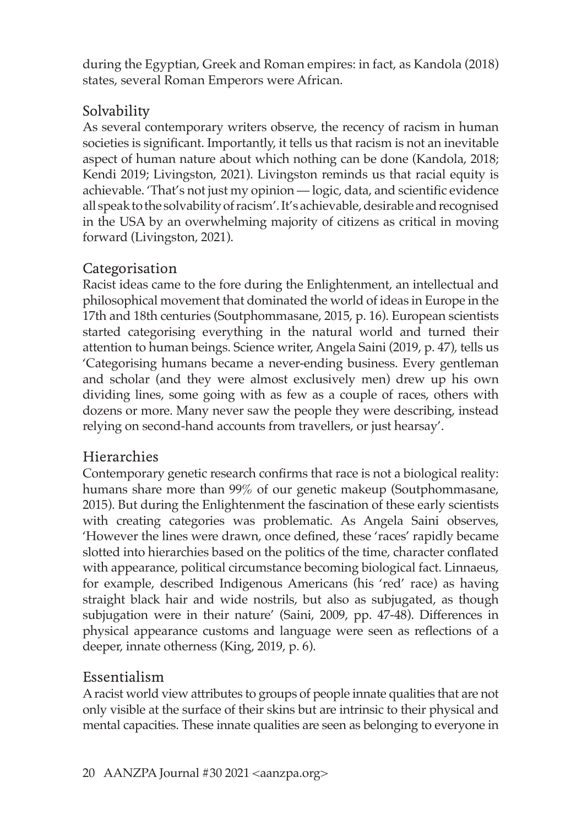during the Egyptian, Greek and Roman empires: in fact, as Kandola (2018) states, several Roman Emperors were African.

## Solvability

As several contemporary writers observe, the recency of racism in human societies is significant. Importantly, it tells us that racism is not an inevitable aspect of human nature about which nothing can be done (Kandola, 2018; Kendi 2019; Livingston, 2021). Livingston reminds us that racial equity is achievable. 'That's not just my opinion — logic, data, and scientific evidence all speak to the solvability of racism'. It's achievable, desirable and recognised in the USA by an overwhelming majority of citizens as critical in moving forward (Livingston, 2021).

## Categorisation

Racist ideas came to the fore during the Enlightenment, an intellectual and philosophical movement that dominated the world of ideas in Europe in the 17th and 18th centuries (Soutphommasane, 2015, p. 16). European scientists started categorising everything in the natural world and turned their attention to human beings. Science writer, Angela Saini (2019, p. 47), tells us 'Categorising humans became a never-ending business. Every gentleman and scholar (and they were almost exclusively men) drew up his own dividing lines, some going with as few as a couple of races, others with dozens or more. Many never saw the people they were describing, instead relying on second-hand accounts from travellers, or just hearsay'.

## Hierarchies

Contemporary genetic research confirms that race is not a biological reality: humans share more than 99% of our genetic makeup (Soutphommasane, 2015). But during the Enlightenment the fascination of these early scientists with creating categories was problematic. As Angela Saini observes, 'However the lines were drawn, once defined, these 'races' rapidly became slotted into hierarchies based on the politics of the time, character conflated with appearance, political circumstance becoming biological fact. Linnaeus, for example, described Indigenous Americans (his 'red' race) as having straight black hair and wide nostrils, but also as subjugated, as though subjugation were in their nature' (Saini, 2009, pp. 47-48). Differences in physical appearance customs and language were seen as reflections of a deeper, innate otherness (King, 2019, p. 6).

## Essentialism

A racist world view attributes to groups of people innate qualities that are not only visible at the surface of their skins but are intrinsic to their physical and mental capacities. These innate qualities are seen as belonging to everyone in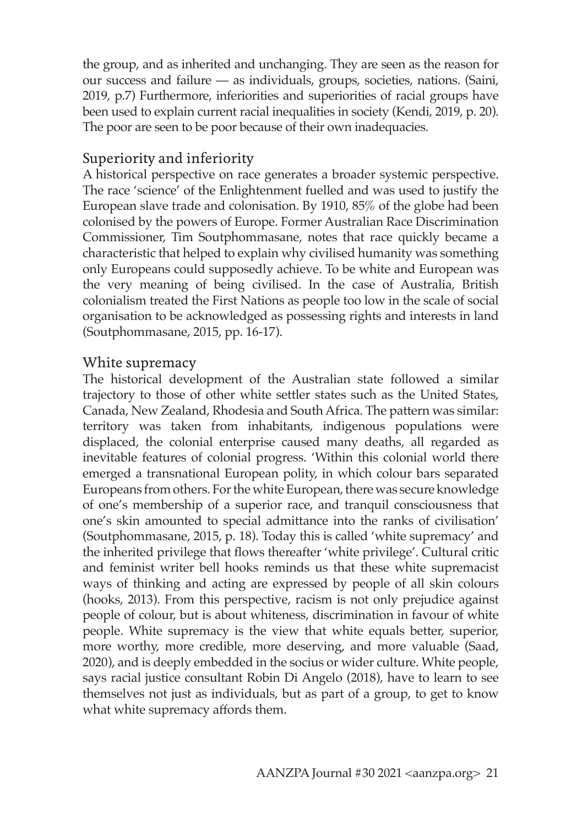the group, and as inherited and unchanging. They are seen as the reason for our success and failure — as individuals, groups, societies, nations. (Saini, 2019, p.7) Furthermore, inferiorities and superiorities of racial groups have been used to explain current racial inequalities in society (Kendi, 2019, p. 20). The poor are seen to be poor because of their own inadequacies.

## Superiority and inferiority

A historical perspective on race generates a broader systemic perspective. The race 'science' of the Enlightenment fuelled and was used to justify the European slave trade and colonisation. By 1910, 85% of the globe had been colonised by the powers of Europe. Former Australian Race Discrimination Commissioner, Tim Soutphommasane, notes that race quickly became a characteristic that helped to explain why civilised humanity was something only Europeans could supposedly achieve. To be white and European was the very meaning of being civilised. In the case of Australia, British colonialism treated the First Nations as people too low in the scale of social organisation to be acknowledged as possessing rights and interests in land (Soutphommasane, 2015, pp. 16-17).

### White supremacy

The historical development of the Australian state followed a similar trajectory to those of other white settler states such as the United States, Canada, New Zealand, Rhodesia and South Africa. The pattern was similar: territory was taken from inhabitants, indigenous populations were displaced, the colonial enterprise caused many deaths, all regarded as inevitable features of colonial progress. 'Within this colonial world there emerged a transnational European polity, in which colour bars separated Europeans from others. For the white European, there was secure knowledge of one's membership of a superior race, and tranquil consciousness that one's skin amounted to special admittance into the ranks of civilisation' (Soutphommasane, 2015, p. 18). Today this is called 'white supremacy' and the inherited privilege that flows thereafter 'white privilege'. Cultural critic and feminist writer bell hooks reminds us that these white supremacist ways of thinking and acting are expressed by people of all skin colours (hooks, 2013). From this perspective, racism is not only prejudice against people of colour, but is about whiteness, discrimination in favour of white people. White supremacy is the view that white equals better, superior, more worthy, more credible, more deserving, and more valuable (Saad, 2020), and is deeply embedded in the socius or wider culture. White people, says racial justice consultant Robin Di Angelo (2018), have to learn to see themselves not just as individuals, but as part of a group, to get to know what white supremacy affords them.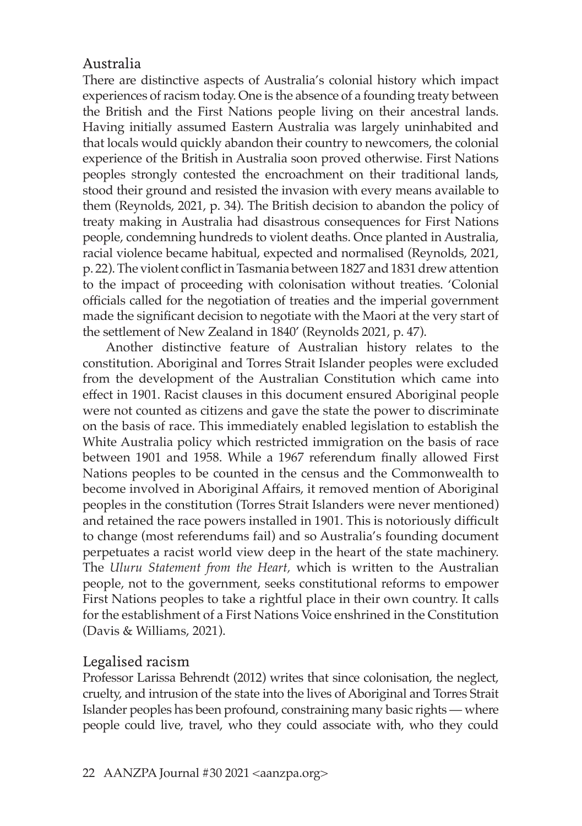## Australia

There are distinctive aspects of Australia's colonial history which impact experiences of racism today. One is the absence of a founding treaty between the British and the First Nations people living on their ancestral lands. Having initially assumed Eastern Australia was largely uninhabited and that locals would quickly abandon their country to newcomers, the colonial experience of the British in Australia soon proved otherwise. First Nations peoples strongly contested the encroachment on their traditional lands, stood their ground and resisted the invasion with every means available to them (Reynolds, 2021, p. 34). The British decision to abandon the policy of treaty making in Australia had disastrous consequences for First Nations people, condemning hundreds to violent deaths. Once planted in Australia, racial violence became habitual, expected and normalised (Reynolds, 2021, p. 22). The violent conflict in Tasmania between 1827 and 1831 drew attention to the impact of proceeding with colonisation without treaties. 'Colonial officials called for the negotiation of treaties and the imperial government made the significant decision to negotiate with the Maori at the very start of the settlement of New Zealand in 1840' (Reynolds 2021, p. 47).

Another distinctive feature of Australian history relates to the constitution. Aboriginal and Torres Strait Islander peoples were excluded from the development of the Australian Constitution which came into effect in 1901. Racist clauses in this document ensured Aboriginal people were not counted as citizens and gave the state the power to discriminate on the basis of race. This immediately enabled legislation to establish the White Australia policy which restricted immigration on the basis of race between 1901 and 1958. While a 1967 referendum finally allowed First Nations peoples to be counted in the census and the Commonwealth to become involved in Aboriginal Affairs, it removed mention of Aboriginal peoples in the constitution (Torres Strait Islanders were never mentioned) and retained the race powers installed in 1901. This is notoriously difficult to change (most referendums fail) and so Australia's founding document perpetuates a racist world view deep in the heart of the state machinery. The *Uluru Statement from the Heart,* which is written to the Australian people, not to the government, seeks constitutional reforms to empower First Nations peoples to take a rightful place in their own country. It calls for the establishment of a First Nations Voice enshrined in the Constitution (Davis & Williams, 2021).

## Legalised racism

Professor Larissa Behrendt (2012) writes that since colonisation, the neglect, cruelty, and intrusion of the state into the lives of Aboriginal and Torres Strait Islander peoples has been profound, constraining many basic rights — where people could live, travel, who they could associate with, who they could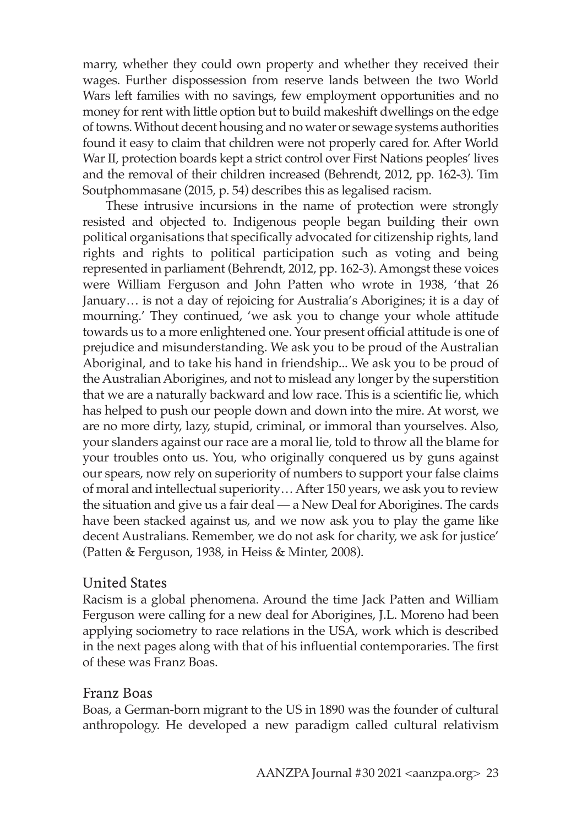marry, whether they could own property and whether they received their wages. Further dispossession from reserve lands between the two World Wars left families with no savings, few employment opportunities and no money for rent with little option but to build makeshift dwellings on the edge of towns. Without decent housing and no water or sewage systems authorities found it easy to claim that children were not properly cared for. After World War II, protection boards kept a strict control over First Nations peoples' lives and the removal of their children increased (Behrendt, 2012, pp. 162-3). Tim Soutphommasane (2015, p. 54) describes this as legalised racism.

These intrusive incursions in the name of protection were strongly resisted and objected to. Indigenous people began building their own political organisations that specifically advocated for citizenship rights, land rights and rights to political participation such as voting and being represented in parliament (Behrendt, 2012, pp. 162-3). Amongst these voices were William Ferguson and John Patten who wrote in 1938, 'that 26 January… is not a day of rejoicing for Australia's Aborigines; it is a day of mourning.' They continued, 'we ask you to change your whole attitude towards us to a more enlightened one. Your present official attitude is one of prejudice and misunderstanding. We ask you to be proud of the Australian Aboriginal, and to take his hand in friendship... We ask you to be proud of the Australian Aborigines, and not to mislead any longer by the superstition that we are a naturally backward and low race. This is a scientific lie, which has helped to push our people down and down into the mire. At worst, we are no more dirty, lazy, stupid, criminal, or immoral than yourselves. Also, your slanders against our race are a moral lie, told to throw all the blame for your troubles onto us. You, who originally conquered us by guns against our spears, now rely on superiority of numbers to support your false claims of moral and intellectual superiority… After 150 years, we ask you to review the situation and give us a fair deal — a New Deal for Aborigines. The cards have been stacked against us, and we now ask you to play the game like decent Australians. Remember, we do not ask for charity, we ask for justice' (Patten & Ferguson, 1938, in Heiss & Minter, 2008).

### United States

Racism is a global phenomena. Around the time Jack Patten and William Ferguson were calling for a new deal for Aborigines, J.L. Moreno had been applying sociometry to race relations in the USA, work which is described in the next pages along with that of his influential contemporaries. The first of these was Franz Boas.

### Franz Boas

Boas, a German-born migrant to the US in 1890 was the founder of cultural anthropology. He developed a new paradigm called cultural relativism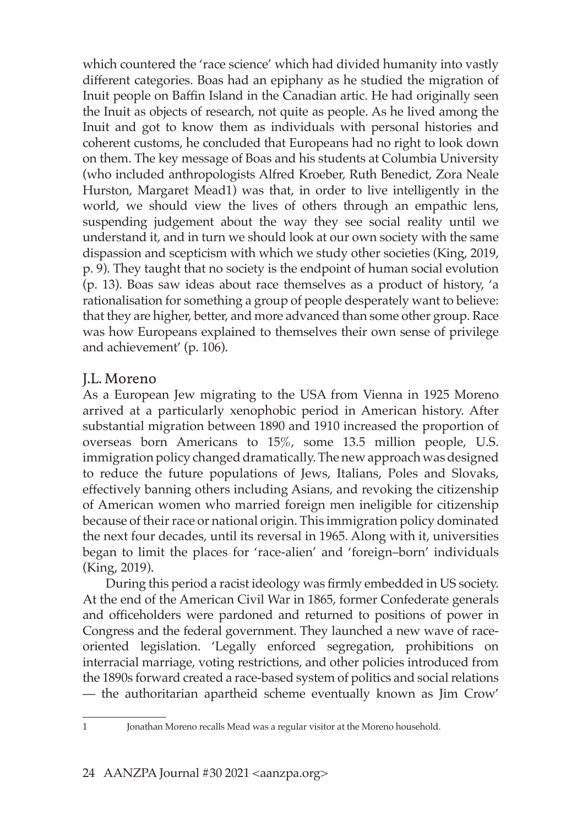which countered the 'race science' which had divided humanity into vastly different categories. Boas had an epiphany as he studied the migration of Inuit people on Baffin Island in the Canadian artic. He had originally seen the Inuit as objects of research, not quite as people. As he lived among the Inuit and got to know them as individuals with personal histories and coherent customs, he concluded that Europeans had no right to look down on them. The key message of Boas and his students at Columbia University (who included anthropologists Alfred Kroeber, Ruth Benedict, Zora Neale Hurston, Margaret Mead1) was that, in order to live intelligently in the world, we should view the lives of others through an empathic lens, suspending judgement about the way they see social reality until we understand it, and in turn we should look at our own society with the same dispassion and scepticism with which we study other societies (King, 2019, p. 9). They taught that no society is the endpoint of human social evolution (p. 13). Boas saw ideas about race themselves as a product of history, 'a rationalisation for something a group of people desperately want to believe: that they are higher, better, and more advanced than some other group. Race was how Europeans explained to themselves their own sense of privilege and achievement' (p. 106).

### J.L. Moreno

As a European Jew migrating to the USA from Vienna in 1925 Moreno arrived at a particularly xenophobic period in American history. After substantial migration between 1890 and 1910 increased the proportion of overseas born Americans to 15%, some 13.5 million people, U.S. immigration policy changed dramatically. The new approach was designed to reduce the future populations of Jews, Italians, Poles and Slovaks, effectively banning others including Asians, and revoking the citizenship of American women who married foreign men ineligible for citizenship because of their race or national origin. This immigration policy dominated the next four decades, until its reversal in 1965. Along with it, universities began to limit the places for 'race-alien' and 'foreign–born' individuals (King, 2019).

During this period a racist ideology was firmly embedded in US society. At the end of the American Civil War in 1865, former Confederate generals and officeholders were pardoned and returned to positions of power in Congress and the federal government. They launched a new wave of raceoriented legislation. 'Legally enforced segregation, prohibitions on interracial marriage, voting restrictions, and other policies introduced from the 1890s forward created a race-based system of politics and social relations — the authoritarian apartheid scheme eventually known as Jim Crow'

<sup>1</sup> Jonathan Moreno recalls Mead was a regular visitor at the Moreno household.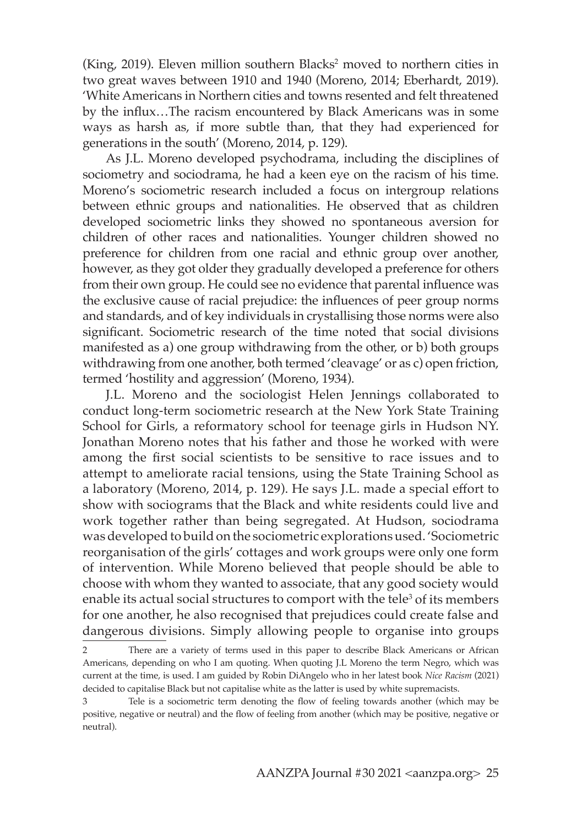(King, 2019). Eleven million southern Blacks<sup>2</sup> moved to northern cities in two great waves between 1910 and 1940 (Moreno, 2014; Eberhardt, 2019). 'White Americans in Northern cities and towns resented and felt threatened by the influx…The racism encountered by Black Americans was in some ways as harsh as, if more subtle than, that they had experienced for generations in the south' (Moreno, 2014, p. 129).

As J.L. Moreno developed psychodrama, including the disciplines of sociometry and sociodrama, he had a keen eye on the racism of his time. Moreno's sociometric research included a focus on intergroup relations between ethnic groups and nationalities. He observed that as children developed sociometric links they showed no spontaneous aversion for children of other races and nationalities. Younger children showed no preference for children from one racial and ethnic group over another, however, as they got older they gradually developed a preference for others from their own group. He could see no evidence that parental influence was the exclusive cause of racial prejudice: the influences of peer group norms and standards, and of key individuals in crystallising those norms were also significant. Sociometric research of the time noted that social divisions manifested as a) one group withdrawing from the other, or b) both groups withdrawing from one another, both termed 'cleavage' or as c) open friction, termed 'hostility and aggression' (Moreno, 1934).

J.L. Moreno and the sociologist Helen Jennings collaborated to conduct long-term sociometric research at the New York State Training School for Girls, a reformatory school for teenage girls in Hudson NY. Jonathan Moreno notes that his father and those he worked with were among the first social scientists to be sensitive to race issues and to attempt to ameliorate racial tensions, using the State Training School as a laboratory (Moreno, 2014, p. 129). He says J.L. made a special effort to show with sociograms that the Black and white residents could live and work together rather than being segregated. At Hudson, sociodrama was developed to build on the sociometric explorations used. 'Sociometric reorganisation of the girls' cottages and work groups were only one form of intervention. While Moreno believed that people should be able to choose with whom they wanted to associate, that any good society would enable its actual social structures to comport with the tele<sup>3</sup> of its members for one another, he also recognised that prejudices could create false and dangerous divisions. Simply allowing people to organise into groups

<sup>2</sup> There are a variety of terms used in this paper to describe Black Americans or African Americans, depending on who I am quoting. When quoting J.L Moreno the term Negro, which was current at the time, is used. I am guided by Robin DiAngelo who in her latest book *Nice Racism* (2021) decided to capitalise Black but not capitalise white as the latter is used by white supremacists.

<sup>3</sup> Tele is a sociometric term denoting the flow of feeling towards another (which may be positive, negative or neutral) and the flow of feeling from another (which may be positive, negative or neutral).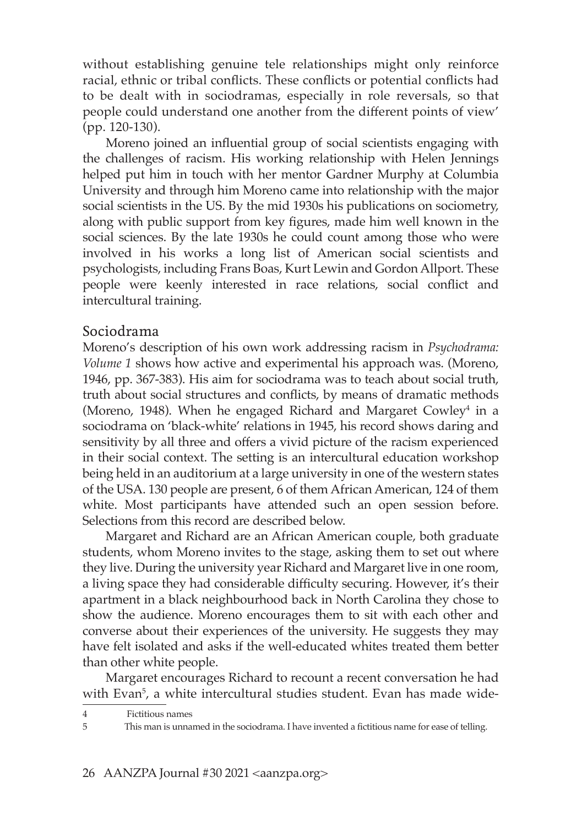without establishing genuine tele relationships might only reinforce racial, ethnic or tribal conflicts. These conflicts or potential conflicts had to be dealt with in sociodramas, especially in role reversals, so that people could understand one another from the different points of view' (pp. 120-130).

Moreno joined an influential group of social scientists engaging with the challenges of racism. His working relationship with Helen Jennings helped put him in touch with her mentor Gardner Murphy at Columbia University and through him Moreno came into relationship with the major social scientists in the US. By the mid 1930s his publications on sociometry, along with public support from key figures, made him well known in the social sciences. By the late 1930s he could count among those who were involved in his works a long list of American social scientists and psychologists, including Frans Boas, Kurt Lewin and Gordon Allport. These people were keenly interested in race relations, social conflict and intercultural training.

#### Sociodrama

Moreno's description of his own work addressing racism in *Psychodrama: Volume 1* shows how active and experimental his approach was. (Moreno, 1946, pp. 367-383). His aim for sociodrama was to teach about social truth, truth about social structures and conflicts, by means of dramatic methods (Moreno, 1948). When he engaged Richard and Margaret Cowley $^4$  in a sociodrama on 'black-white' relations in 1945, his record shows daring and sensitivity by all three and offers a vivid picture of the racism experienced in their social context. The setting is an intercultural education workshop being held in an auditorium at a large university in one of the western states of the USA. 130 people are present, 6 of them African American, 124 of them white. Most participants have attended such an open session before. Selections from this record are described below.

Margaret and Richard are an African American couple, both graduate students, whom Moreno invites to the stage, asking them to set out where they live. During the university year Richard and Margaret live in one room, a living space they had considerable difficulty securing. However, it's their apartment in a black neighbourhood back in North Carolina they chose to show the audience. Moreno encourages them to sit with each other and converse about their experiences of the university. He suggests they may have felt isolated and asks if the well-educated whites treated them better than other white people.

Margaret encourages Richard to recount a recent conversation he had with Evan<sup>5</sup>, a white intercultural studies student. Evan has made wide-

Fictitious names

<sup>5</sup> This man is unnamed in the sociodrama. I have invented a fictitious name for ease of telling.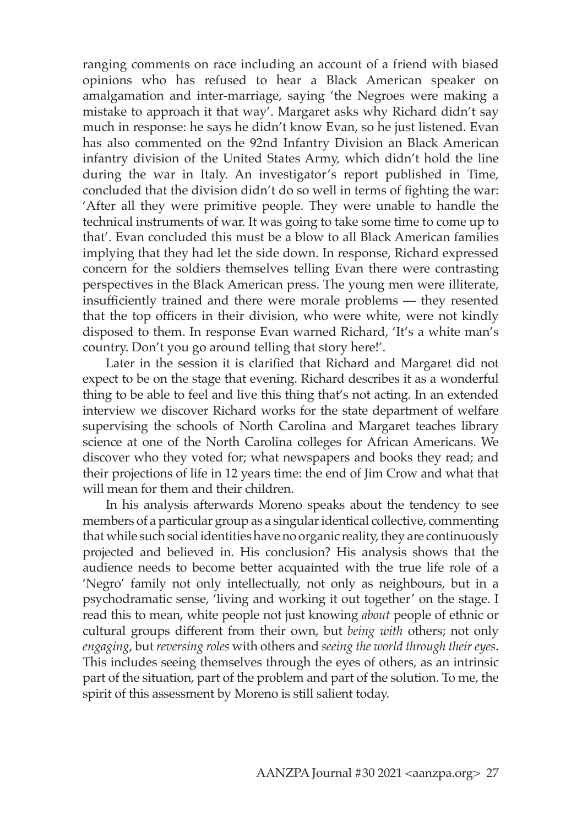ranging comments on race including an account of a friend with biased opinions who has refused to hear a Black American speaker on amalgamation and inter-marriage, saying 'the Negroes were making a mistake to approach it that way'. Margaret asks why Richard didn't say much in response: he says he didn't know Evan, so he just listened. Evan has also commented on the 92nd Infantry Division an Black American infantry division of the United States Army, which didn't hold the line during the war in Italy. An investigator's report published in Time, concluded that the division didn't do so well in terms of fighting the war: 'After all they were primitive people. They were unable to handle the technical instruments of war. It was going to take some time to come up to that'. Evan concluded this must be a blow to all Black American families implying that they had let the side down. In response, Richard expressed concern for the soldiers themselves telling Evan there were contrasting perspectives in the Black American press. The young men were illiterate, insufficiently trained and there were morale problems — they resented that the top officers in their division, who were white, were not kindly disposed to them. In response Evan warned Richard, 'It's a white man's country. Don't you go around telling that story here!'.

Later in the session it is clarified that Richard and Margaret did not expect to be on the stage that evening. Richard describes it as a wonderful thing to be able to feel and live this thing that's not acting. In an extended interview we discover Richard works for the state department of welfare supervising the schools of North Carolina and Margaret teaches library science at one of the North Carolina colleges for African Americans. We discover who they voted for; what newspapers and books they read; and their projections of life in 12 years time: the end of Jim Crow and what that will mean for them and their children.

In his analysis afterwards Moreno speaks about the tendency to see members of a particular group as a singular identical collective, commenting that while such social identities have no organic reality, they are continuously projected and believed in. His conclusion? His analysis shows that the audience needs to become better acquainted with the true life role of a 'Negro' family not only intellectually, not only as neighbours, but in a psychodramatic sense, 'living and working it out together' on the stage. I read this to mean, white people not just knowing *about* people of ethnic or cultural groups different from their own, but *being with* others; not only *engaging*, but *reversing roles* with others and *seeing the world through their eyes*. This includes seeing themselves through the eyes of others, as an intrinsic part of the situation, part of the problem and part of the solution. To me, the spirit of this assessment by Moreno is still salient today.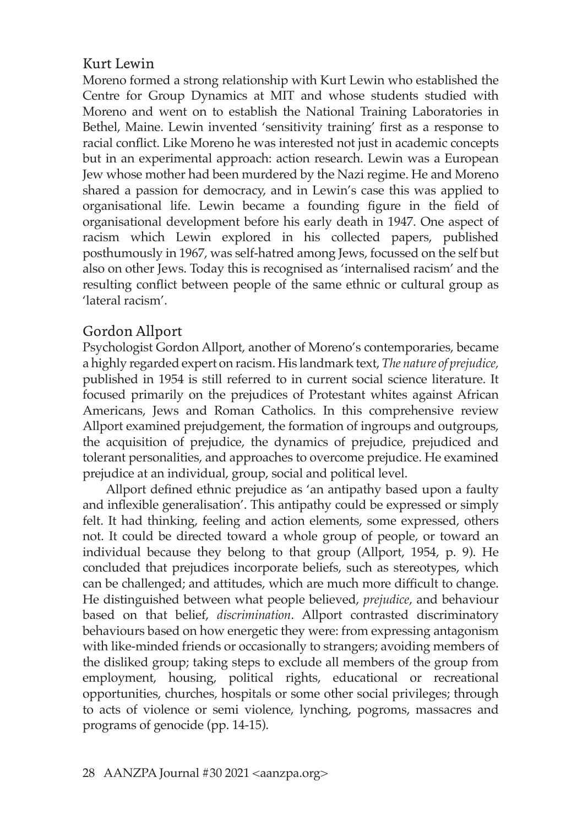### Kurt Lewin

Moreno formed a strong relationship with Kurt Lewin who established the Centre for Group Dynamics at MIT and whose students studied with Moreno and went on to establish the National Training Laboratories in Bethel, Maine. Lewin invented 'sensitivity training' first as a response to racial conflict. Like Moreno he was interested not just in academic concepts but in an experimental approach: action research. Lewin was a European Jew whose mother had been murdered by the Nazi regime. He and Moreno shared a passion for democracy, and in Lewin's case this was applied to organisational life. Lewin became a founding figure in the field of organisational development before his early death in 1947. One aspect of racism which Lewin explored in his collected papers, published posthumously in 1967, was self-hatred among Jews, focussed on the self but also on other Jews. Today this is recognised as 'internalised racism' and the resulting conflict between people of the same ethnic or cultural group as 'lateral racism'.

## Gordon Allport

Psychologist Gordon Allport, another of Moreno's contemporaries, became a highly regarded expert on racism. His landmark text, *The nature of prejudice,* published in 1954 is still referred to in current social science literature. It focused primarily on the prejudices of Protestant whites against African Americans, Jews and Roman Catholics. In this comprehensive review Allport examined prejudgement, the formation of ingroups and outgroups, the acquisition of prejudice, the dynamics of prejudice, prejudiced and tolerant personalities, and approaches to overcome prejudice. He examined prejudice at an individual, group, social and political level.

Allport defined ethnic prejudice as 'an antipathy based upon a faulty and inflexible generalisation'. This antipathy could be expressed or simply felt. It had thinking, feeling and action elements, some expressed, others not. It could be directed toward a whole group of people, or toward an individual because they belong to that group (Allport, 1954, p. 9). He concluded that prejudices incorporate beliefs, such as stereotypes, which can be challenged; and attitudes, which are much more difficult to change. He distinguished between what people believed, *prejudice*, and behaviour based on that belief, *discrimination*. Allport contrasted discriminatory behaviours based on how energetic they were: from expressing antagonism with like-minded friends or occasionally to strangers; avoiding members of the disliked group; taking steps to exclude all members of the group from employment, housing, political rights, educational or recreational opportunities, churches, hospitals or some other social privileges; through to acts of violence or semi violence, lynching, pogroms, massacres and programs of genocide (pp. 14-15).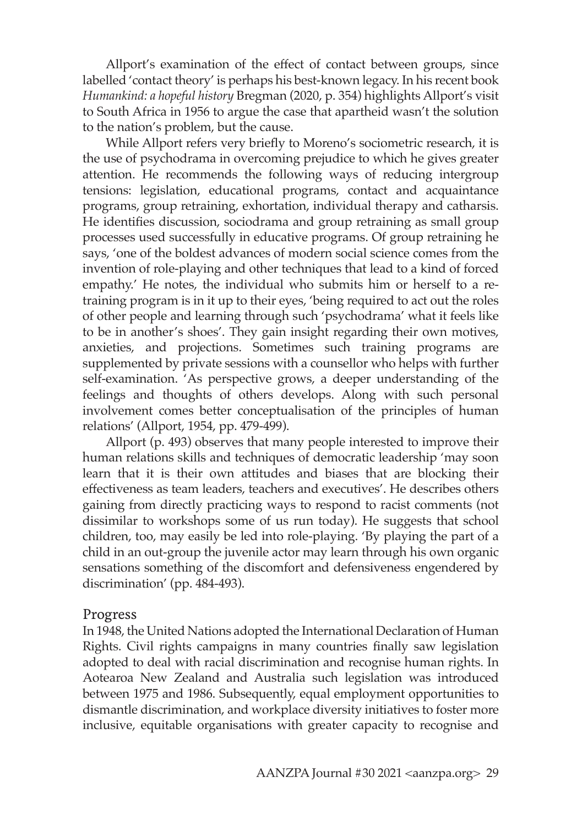Allport's examination of the effect of contact between groups, since labelled 'contact theory' is perhaps his best-known legacy. In his recent book *Humankind: a hopeful history* Bregman (2020, p. 354) highlights Allport's visit to South Africa in 1956 to argue the case that apartheid wasn't the solution to the nation's problem, but the cause.

While Allport refers very briefly to Moreno's sociometric research, it is the use of psychodrama in overcoming prejudice to which he gives greater attention. He recommends the following ways of reducing intergroup tensions: legislation, educational programs, contact and acquaintance programs, group retraining, exhortation, individual therapy and catharsis. He identifies discussion, sociodrama and group retraining as small group processes used successfully in educative programs. Of group retraining he says, 'one of the boldest advances of modern social science comes from the invention of role-playing and other techniques that lead to a kind of forced empathy.' He notes, the individual who submits him or herself to a retraining program is in it up to their eyes, 'being required to act out the roles of other people and learning through such 'psychodrama' what it feels like to be in another's shoes'. They gain insight regarding their own motives, anxieties, and projections. Sometimes such training programs are supplemented by private sessions with a counsellor who helps with further self-examination. 'As perspective grows, a deeper understanding of the feelings and thoughts of others develops. Along with such personal involvement comes better conceptualisation of the principles of human relations' (Allport, 1954, pp. 479-499).

Allport (p. 493) observes that many people interested to improve their human relations skills and techniques of democratic leadership 'may soon learn that it is their own attitudes and biases that are blocking their effectiveness as team leaders, teachers and executives'. He describes others gaining from directly practicing ways to respond to racist comments (not dissimilar to workshops some of us run today). He suggests that school children, too, may easily be led into role-playing. 'By playing the part of a child in an out-group the juvenile actor may learn through his own organic sensations something of the discomfort and defensiveness engendered by discrimination' (pp. 484-493).

#### Progress

In 1948, the United Nations adopted the International Declaration of Human Rights. Civil rights campaigns in many countries finally saw legislation adopted to deal with racial discrimination and recognise human rights. In Aotearoa New Zealand and Australia such legislation was introduced between 1975 and 1986. Subsequently, equal employment opportunities to dismantle discrimination, and workplace diversity initiatives to foster more inclusive, equitable organisations with greater capacity to recognise and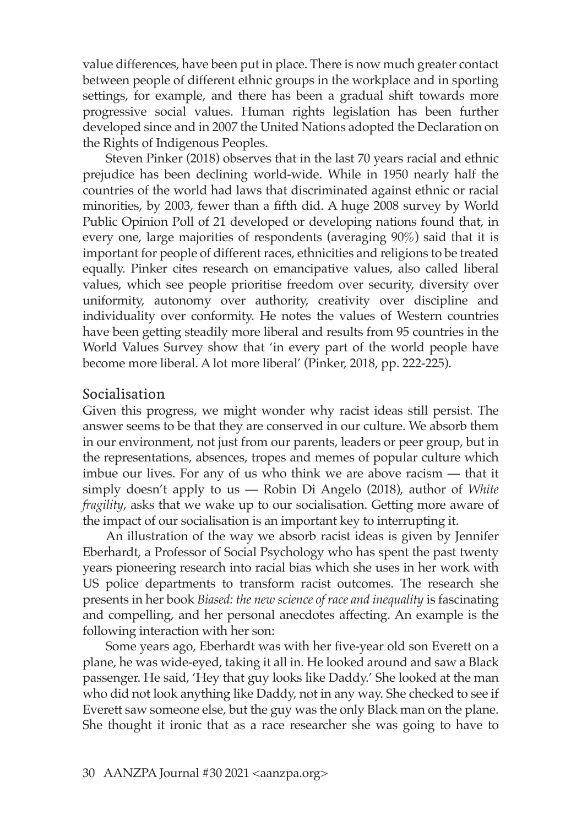value differences, have been put in place. There is now much greater contact between people of different ethnic groups in the workplace and in sporting settings, for example, and there has been a gradual shift towards more progressive social values. Human rights legislation has been further developed since and in 2007 the United Nations adopted the Declaration on the Rights of Indigenous Peoples.

Steven Pinker (2018) observes that in the last 70 years racial and ethnic prejudice has been declining world-wide. While in 1950 nearly half the countries of the world had laws that discriminated against ethnic or racial minorities, by 2003, fewer than a fifth did. A huge 2008 survey by World Public Opinion Poll of 21 developed or developing nations found that, in every one, large majorities of respondents (averaging 90%) said that it is important for people of different races, ethnicities and religions to be treated equally. Pinker cites research on emancipative values, also called liberal values, which see people prioritise freedom over security, diversity over uniformity, autonomy over authority, creativity over discipline and individuality over conformity. He notes the values of Western countries have been getting steadily more liberal and results from 95 countries in the World Values Survey show that 'in every part of the world people have become more liberal. A lot more liberal' (Pinker, 2018, pp. 222-225).

#### Socialisation

Given this progress, we might wonder why racist ideas still persist. The answer seems to be that they are conserved in our culture. We absorb them in our environment, not just from our parents, leaders or peer group, but in the representations, absences, tropes and memes of popular culture which imbue our lives. For any of us who think we are above racism — that it simply doesn't apply to us — Robin Di Angelo (2018), author of *White fragility*, asks that we wake up to our socialisation. Getting more aware of the impact of our socialisation is an important key to interrupting it.

An illustration of the way we absorb racist ideas is given by Jennifer Eberhardt, a Professor of Social Psychology who has spent the past twenty years pioneering research into racial bias which she uses in her work with US police departments to transform racist outcomes. The research she presents in her book *Biased: the new science of race and inequality* is fascinating and compelling, and her personal anecdotes affecting. An example is the following interaction with her son:

Some years ago, Eberhardt was with her five-year old son Everett on a plane, he was wide-eyed, taking it all in. He looked around and saw a Black passenger. He said, 'Hey that guy looks like Daddy.' She looked at the man who did not look anything like Daddy, not in any way. She checked to see if Everett saw someone else, but the guy was the only Black man on the plane. She thought it ironic that as a race researcher she was going to have to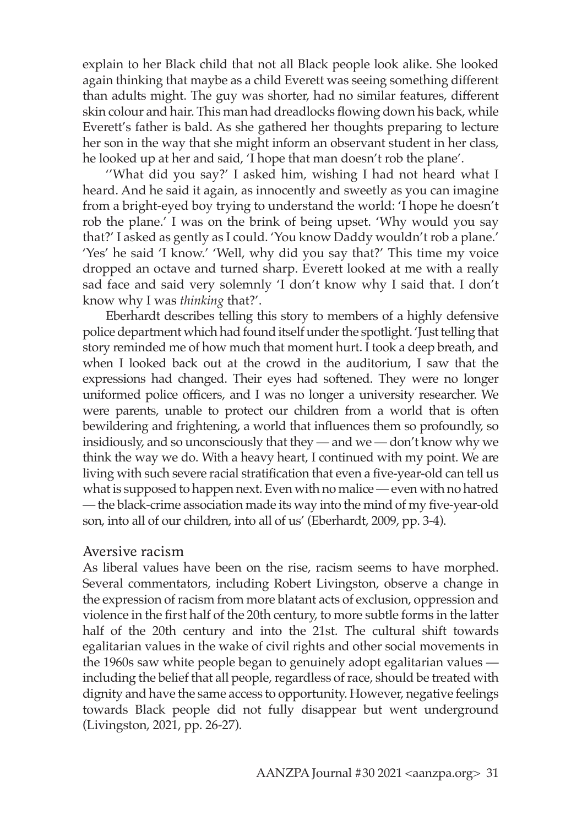explain to her Black child that not all Black people look alike. She looked again thinking that maybe as a child Everett was seeing something different than adults might. The guy was shorter, had no similar features, different skin colour and hair. This man had dreadlocks flowing down his back, while Everett's father is bald. As she gathered her thoughts preparing to lecture her son in the way that she might inform an observant student in her class, he looked up at her and said, 'I hope that man doesn't rob the plane'.

''What did you say?' I asked him, wishing I had not heard what I heard. And he said it again, as innocently and sweetly as you can imagine from a bright-eyed boy trying to understand the world: 'I hope he doesn't rob the plane.' I was on the brink of being upset. 'Why would you say that?' I asked as gently as I could. 'You know Daddy wouldn't rob a plane.' 'Yes' he said 'I know.' 'Well, why did you say that?' This time my voice dropped an octave and turned sharp. Everett looked at me with a really sad face and said very solemnly 'I don't know why I said that. I don't know why I was *thinking* that?'.

Eberhardt describes telling this story to members of a highly defensive police department which had found itself under the spotlight. 'Just telling that story reminded me of how much that moment hurt. I took a deep breath, and when I looked back out at the crowd in the auditorium, I saw that the expressions had changed. Their eyes had softened. They were no longer uniformed police officers, and I was no longer a university researcher. We were parents, unable to protect our children from a world that is often bewildering and frightening, a world that influences them so profoundly, so insidiously, and so unconsciously that they — and we — don't know why we think the way we do. With a heavy heart, I continued with my point. We are living with such severe racial stratification that even a five-year-old can tell us what is supposed to happen next. Even with no malice — even with no hatred — the black-crime association made its way into the mind of my five-year-old son, into all of our children, into all of us' (Eberhardt, 2009, pp. 3-4).

#### Aversive racism

As liberal values have been on the rise, racism seems to have morphed. Several commentators, including Robert Livingston, observe a change in the expression of racism from more blatant acts of exclusion, oppression and violence in the first half of the 20th century, to more subtle forms in the latter half of the 20th century and into the 21st. The cultural shift towards egalitarian values in the wake of civil rights and other social movements in the 1960s saw white people began to genuinely adopt egalitarian values including the belief that all people, regardless of race, should be treated with dignity and have the same access to opportunity. However, negative feelings towards Black people did not fully disappear but went underground (Livingston, 2021, pp. 26-27).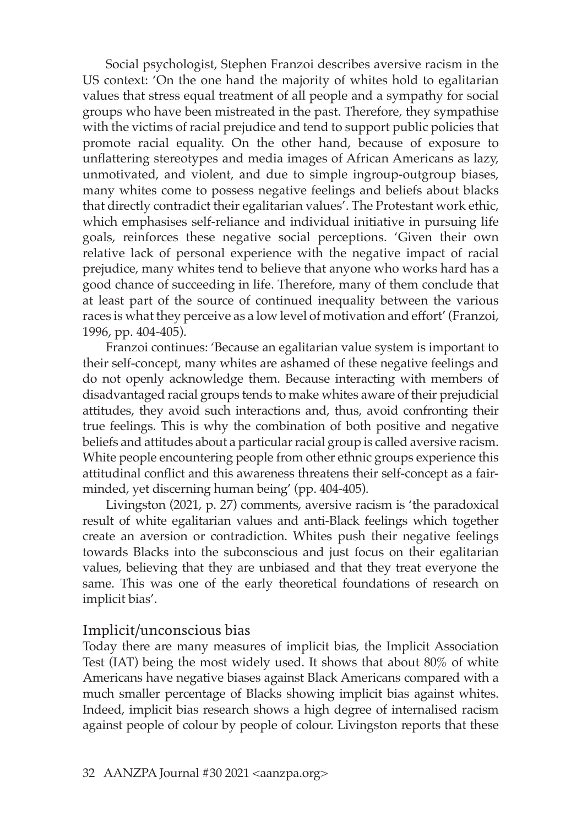Social psychologist, Stephen Franzoi describes aversive racism in the US context: 'On the one hand the majority of whites hold to egalitarian values that stress equal treatment of all people and a sympathy for social groups who have been mistreated in the past. Therefore, they sympathise with the victims of racial prejudice and tend to support public policies that promote racial equality. On the other hand, because of exposure to unflattering stereotypes and media images of African Americans as lazy, unmotivated, and violent, and due to simple ingroup-outgroup biases, many whites come to possess negative feelings and beliefs about blacks that directly contradict their egalitarian values'. The Protestant work ethic, which emphasises self-reliance and individual initiative in pursuing life goals, reinforces these negative social perceptions. 'Given their own relative lack of personal experience with the negative impact of racial prejudice, many whites tend to believe that anyone who works hard has a good chance of succeeding in life. Therefore, many of them conclude that at least part of the source of continued inequality between the various races is what they perceive as a low level of motivation and effort' (Franzoi, 1996, pp. 404-405).

Franzoi continues: 'Because an egalitarian value system is important to their self-concept, many whites are ashamed of these negative feelings and do not openly acknowledge them. Because interacting with members of disadvantaged racial groups tends to make whites aware of their prejudicial attitudes, they avoid such interactions and, thus, avoid confronting their true feelings. This is why the combination of both positive and negative beliefs and attitudes about a particular racial group is called aversive racism. White people encountering people from other ethnic groups experience this attitudinal conflict and this awareness threatens their self-concept as a fairminded, yet discerning human being' (pp. 404-405).

Livingston (2021, p. 27) comments, aversive racism is 'the paradoxical result of white egalitarian values and anti-Black feelings which together create an aversion or contradiction. Whites push their negative feelings towards Blacks into the subconscious and just focus on their egalitarian values, believing that they are unbiased and that they treat everyone the same. This was one of the early theoretical foundations of research on implicit bias'.

### Implicit/unconscious bias

Today there are many measures of implicit bias, the Implicit Association Test (IAT) being the most widely used. It shows that about 80% of white Americans have negative biases against Black Americans compared with a much smaller percentage of Blacks showing implicit bias against whites. Indeed, implicit bias research shows a high degree of internalised racism against people of colour by people of colour. Livingston reports that these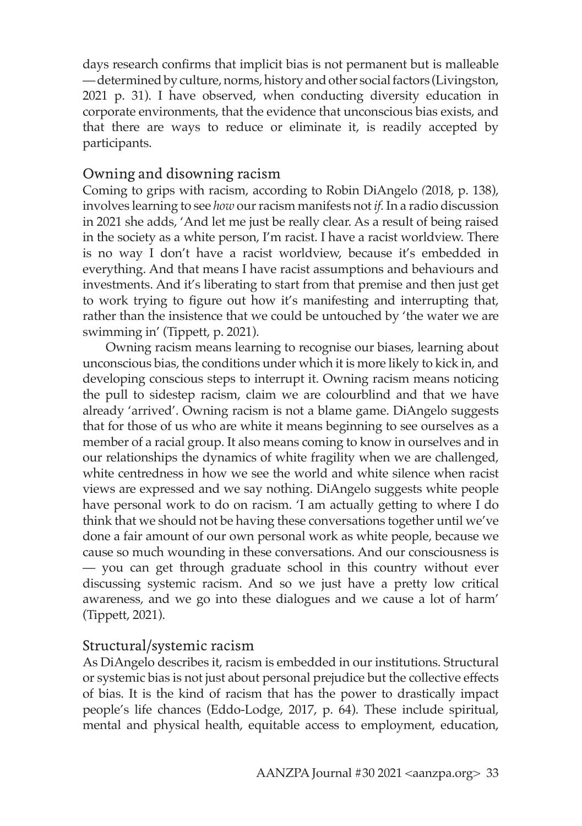days research confirms that implicit bias is not permanent but is malleable — determined by culture, norms, history and other social factors (Livingston, 2021 p. 31). I have observed, when conducting diversity education in corporate environments, that the evidence that unconscious bias exists, and that there are ways to reduce or eliminate it, is readily accepted by participants.

### Owning and disowning racism

Coming to grips with racism, according to Robin DiAngelo *(*2018, p. 138), involves learning to see *how* our racism manifests not *if.* In a radio discussion in 2021 she adds, 'And let me just be really clear. As a result of being raised in the society as a white person, I'm racist. I have a racist worldview. There is no way I don't have a racist worldview, because it's embedded in everything. And that means I have racist assumptions and behaviours and investments. And it's liberating to start from that premise and then just get to work trying to figure out how it's manifesting and interrupting that, rather than the insistence that we could be untouched by 'the water we are swimming in' (Tippett, p. 2021).

Owning racism means learning to recognise our biases, learning about unconscious bias, the conditions under which it is more likely to kick in, and developing conscious steps to interrupt it. Owning racism means noticing the pull to sidestep racism, claim we are colourblind and that we have already 'arrived'. Owning racism is not a blame game. DiAngelo suggests that for those of us who are white it means beginning to see ourselves as a member of a racial group. It also means coming to know in ourselves and in our relationships the dynamics of white fragility when we are challenged, white centredness in how we see the world and white silence when racist views are expressed and we say nothing. DiAngelo suggests white people have personal work to do on racism. 'I am actually getting to where I do think that we should not be having these conversations together until we've done a fair amount of our own personal work as white people, because we cause so much wounding in these conversations. And our consciousness is — you can get through graduate school in this country without ever discussing systemic racism. And so we just have a pretty low critical awareness, and we go into these dialogues and we cause a lot of harm' (Tippett, 2021).

## Structural/systemic racism

As DiAngelo describes it, racism is embedded in our institutions. Structural or systemic bias is not just about personal prejudice but the collective effects of bias. It is the kind of racism that has the power to drastically impact people's life chances (Eddo-Lodge, 2017, p. 64). These include spiritual, mental and physical health, equitable access to employment, education,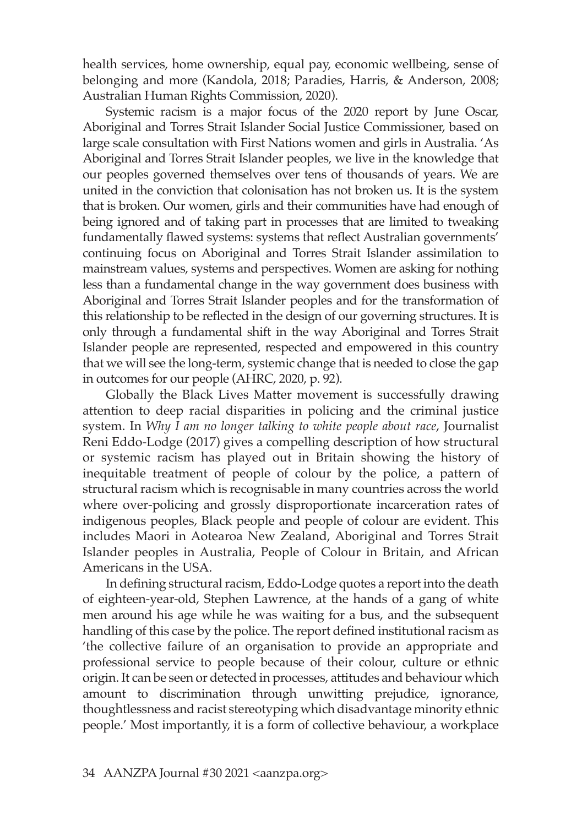health services, home ownership, equal pay, economic wellbeing, sense of belonging and more (Kandola, 2018; Paradies, Harris, & Anderson, 2008; Australian Human Rights Commission, 2020).

Systemic racism is a major focus of the 2020 report by June Oscar, Aboriginal and Torres Strait Islander Social Justice Commissioner, based on large scale consultation with First Nations women and girls in Australia. 'As Aboriginal and Torres Strait Islander peoples, we live in the knowledge that our peoples governed themselves over tens of thousands of years. We are united in the conviction that colonisation has not broken us. It is the system that is broken. Our women, girls and their communities have had enough of being ignored and of taking part in processes that are limited to tweaking fundamentally flawed systems: systems that reflect Australian governments' continuing focus on Aboriginal and Torres Strait Islander assimilation to mainstream values, systems and perspectives. Women are asking for nothing less than a fundamental change in the way government does business with Aboriginal and Torres Strait Islander peoples and for the transformation of this relationship to be reflected in the design of our governing structures. It is only through a fundamental shift in the way Aboriginal and Torres Strait Islander people are represented, respected and empowered in this country that we will see the long-term, systemic change that is needed to close the gap in outcomes for our people (AHRC, 2020, p. 92).

Globally the Black Lives Matter movement is successfully drawing attention to deep racial disparities in policing and the criminal justice system. In *Why I am no longer talking to white people about race*, Journalist Reni Eddo-Lodge (2017) gives a compelling description of how structural or systemic racism has played out in Britain showing the history of inequitable treatment of people of colour by the police, a pattern of structural racism which is recognisable in many countries across the world where over-policing and grossly disproportionate incarceration rates of indigenous peoples, Black people and people of colour are evident. This includes Maori in Aotearoa New Zealand, Aboriginal and Torres Strait Islander peoples in Australia, People of Colour in Britain, and African Americans in the USA.

In defining structural racism, Eddo-Lodge quotes a report into the death of eighteen-year-old, Stephen Lawrence, at the hands of a gang of white men around his age while he was waiting for a bus, and the subsequent handling of this case by the police. The report defined institutional racism as 'the collective failure of an organisation to provide an appropriate and professional service to people because of their colour, culture or ethnic origin. It can be seen or detected in processes, attitudes and behaviour which amount to discrimination through unwitting prejudice, ignorance, thoughtlessness and racist stereotyping which disadvantage minority ethnic people.' Most importantly, it is a form of collective behaviour, a workplace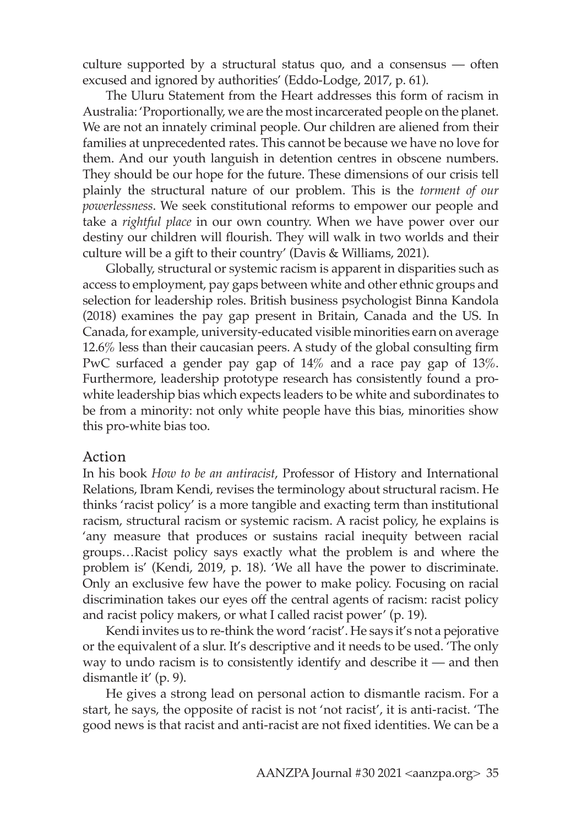culture supported by a structural status quo, and a consensus — often excused and ignored by authorities' (Eddo-Lodge, 2017, p. 61).

The Uluru Statement from the Heart addresses this form of racism in Australia: 'Proportionally, we are the most incarcerated people on the planet. We are not an innately criminal people. Our children are aliened from their families at unprecedented rates. This cannot be because we have no love for them. And our youth languish in detention centres in obscene numbers. They should be our hope for the future. These dimensions of our crisis tell plainly the structural nature of our problem. This is the *torment of our powerlessness*. We seek constitutional reforms to empower our people and take a *rightful place* in our own country. When we have power over our destiny our children will flourish. They will walk in two worlds and their culture will be a gift to their country' (Davis & Williams, 2021).

Globally, structural or systemic racism is apparent in disparities such as access to employment, pay gaps between white and other ethnic groups and selection for leadership roles. British business psychologist Binna Kandola (2018) examines the pay gap present in Britain, Canada and the US. In Canada, for example, university-educated visible minorities earn on average 12.6% less than their caucasian peers. A study of the global consulting firm PwC surfaced a gender pay gap of 14% and a race pay gap of 13%. Furthermore, leadership prototype research has consistently found a prowhite leadership bias which expects leaders to be white and subordinates to be from a minority: not only white people have this bias, minorities show this pro-white bias too.

#### Action

In his book *How to be an antiracist*, Professor of History and International Relations, Ibram Kendi, revises the terminology about structural racism. He thinks 'racist policy' is a more tangible and exacting term than institutional racism, structural racism or systemic racism. A racist policy, he explains is 'any measure that produces or sustains racial inequity between racial groups…Racist policy says exactly what the problem is and where the problem is' (Kendi, 2019, p. 18). 'We all have the power to discriminate. Only an exclusive few have the power to make policy. Focusing on racial discrimination takes our eyes off the central agents of racism: racist policy and racist policy makers, or what I called racist power' (p. 19).

Kendi invites us to re-think the word 'racist'. He says it's not a pejorative or the equivalent of a slur. It's descriptive and it needs to be used. 'The only way to undo racism is to consistently identify and describe it — and then dismantle it' (p. 9).

He gives a strong lead on personal action to dismantle racism. For a start, he says, the opposite of racist is not 'not racist', it is anti-racist. 'The good news is that racist and anti-racist are not fixed identities. We can be a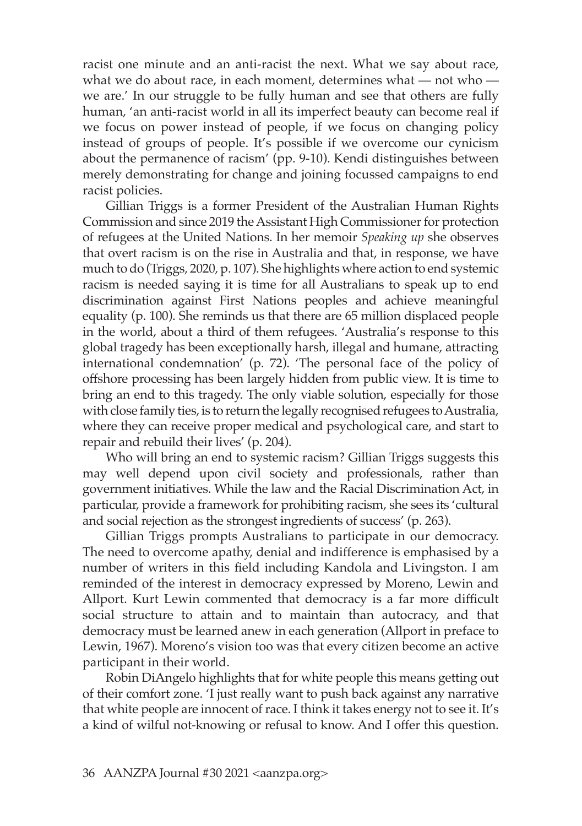racist one minute and an anti-racist the next. What we say about race, what we do about race, in each moment, determines what — not who we are.' In our struggle to be fully human and see that others are fully human, 'an anti-racist world in all its imperfect beauty can become real if we focus on power instead of people, if we focus on changing policy instead of groups of people. It's possible if we overcome our cynicism about the permanence of racism' (pp. 9-10). Kendi distinguishes between merely demonstrating for change and joining focussed campaigns to end racist policies.

Gillian Triggs is a former President of the Australian Human Rights Commission and since 2019 the Assistant High Commissioner for protection of refugees at the United Nations. In her memoir *Speaking up* she observes that overt racism is on the rise in Australia and that, in response, we have much to do (Triggs, 2020, p. 107). She highlights where action to end systemic racism is needed saying it is time for all Australians to speak up to end discrimination against First Nations peoples and achieve meaningful equality (p. 100). She reminds us that there are 65 million displaced people in the world, about a third of them refugees. 'Australia's response to this global tragedy has been exceptionally harsh, illegal and humane, attracting international condemnation' (p. 72). 'The personal face of the policy of offshore processing has been largely hidden from public view. It is time to bring an end to this tragedy. The only viable solution, especially for those with close family ties, is to return the legally recognised refugees to Australia, where they can receive proper medical and psychological care, and start to repair and rebuild their lives' (p. 204).

Who will bring an end to systemic racism? Gillian Triggs suggests this may well depend upon civil society and professionals, rather than government initiatives. While the law and the Racial Discrimination Act, in particular, provide a framework for prohibiting racism, she sees its 'cultural and social rejection as the strongest ingredients of success' (p. 263).

Gillian Triggs prompts Australians to participate in our democracy. The need to overcome apathy, denial and indifference is emphasised by a number of writers in this field including Kandola and Livingston. I am reminded of the interest in democracy expressed by Moreno, Lewin and Allport. Kurt Lewin commented that democracy is a far more difficult social structure to attain and to maintain than autocracy, and that democracy must be learned anew in each generation (Allport in preface to Lewin, 1967). Moreno's vision too was that every citizen become an active participant in their world.

Robin DiAngelo highlights that for white people this means getting out of their comfort zone. 'I just really want to push back against any narrative that white people are innocent of race. I think it takes energy not to see it. It's a kind of wilful not-knowing or refusal to know. And I offer this question.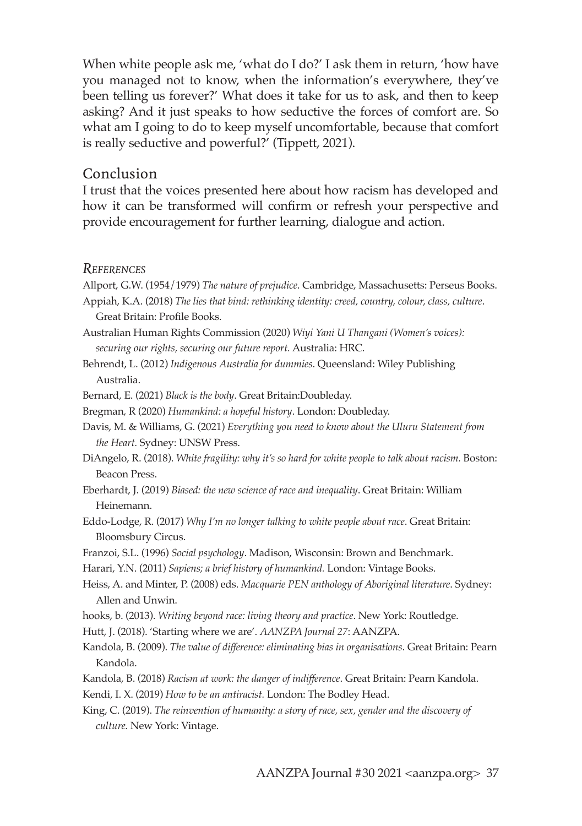When white people ask me, 'what do I do?' I ask them in return, 'how have you managed not to know, when the information's everywhere, they've been telling us forever?' What does it take for us to ask, and then to keep asking? And it just speaks to how seductive the forces of comfort are. So what am I going to do to keep myself uncomfortable, because that comfort is really seductive and powerful?' (Tippett, 2021).

#### Conclusion

I trust that the voices presented here about how racism has developed and how it can be transformed will confirm or refresh your perspective and provide encouragement for further learning, dialogue and action.

#### *References*

Allport, G.W. (1954/1979) *The nature of prejudice*. Cambridge, Massachusetts: Perseus Books.

- Appiah, K.A. (2018) *The lies that bind: rethinking identity: creed, country, colour, class, culture*. Great Britain: Profile Books.
- Australian Human Rights Commission (2020) *Wiyi Yani U Thangani (Women's voices): securing our rights, securing our future report.* Australia: HRC.
- Behrendt, L. (2012) *Indigenous Australia for dummies*. Queensland: Wiley Publishing Australia.
- Bernard, E. (2021) *Black is the body*. Great Britain:Doubleday.
- Bregman, R (2020) *Humankind: a hopeful history*. London: Doubleday.
- Davis, M. & Williams, G. (2021) *Everything you need to know about the Uluru Statement from the Heart.* Sydney: UNSW Press.
- DiAngelo, R. (2018). *White fragility: why it's so hard for white people to talk about racism.* Boston: Beacon Press.
- Eberhardt, J. (2019) *Biased: the new science of race and inequality*. Great Britain: William Heinemann.
- Eddo-Lodge, R. (2017) *Why I'm no longer talking to white people about race*. Great Britain: Bloomsbury Circus.
- Franzoi, S.L. (1996) *Social psychology*. Madison, Wisconsin: Brown and Benchmark.
- Harari, Y.N. (2011) *Sapiens; a brief history of humankind.* London: Vintage Books.
- Heiss, A. and Minter, P. (2008) eds. *Macquarie PEN anthology of Aboriginal literature*. Sydney: Allen and Unwin.
- hooks, b. (2013). *Writing beyond race: living theory and practice*. New York: Routledge.
- Hutt, J. (2018). 'Starting where we are'. *AANZPA Journal 27*: AANZPA.
- Kandola, B. (2009). *The value of difference: eliminating bias in organisations*. Great Britain: Pearn Kandola.
- Kandola, B. (2018) *Racism at work: the danger of indifference*. Great Britain: Pearn Kandola.
- Kendi, I. X. (2019) *How to be an antiracist.* London: The Bodley Head.
- King, C. (2019). *The reinvention of humanity: a story of race, sex, gender and the discovery of culture.* New York: Vintage.